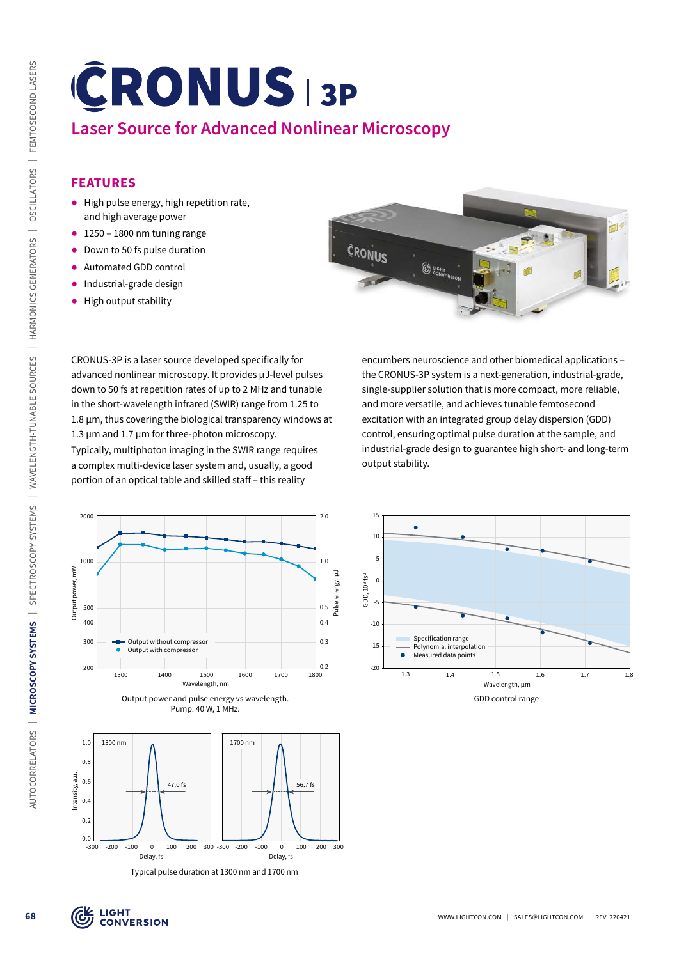# **Laser Source for Advanced Nonlinear Microscopy**

# **FEATURES**

- ᰋ High pulse energy, high repetition rate, and high average power
- $\bullet$  1250 1800 nm tuning range
- Down to 50 fs pulse duration
- ᰋ Automated GDD control
- Industrial-grade design
- ᰋ High output stability



CRONUS-3P is a laser source developed specifically for advanced nonlinear microscopy. It provides µJ-level pulses down to 50 fs at repetition rates of up to 2 MHz and tunable in the short-wavelength infrared (SWIR) range from 1.25 to 1.8 µm, thus covering the biological transparency windows at 1.3  $\mu$ m and 1.7  $\mu$ m for three-photon microscopy.

Typically, multiphoton imaging in the SWIR range requires a complex multi-device laser system and, usually, a good portion of an optical table and skilled staff – this reality

encumbers neuroscience and other biomedical applications – the CRONUS-3P system is a next-generation, industrial-grade, single-supplier solution that is more compact, more reliable, and more versatile, and achieves tunable femtosecond excitation with an integrated group delay dispersion (GDD) control, ensuring optimal pulse duration at the sample, and industrial-grade design to guarantee high short- and long-term output stability.



GDD control range 1.3 1.4 1.5 1.6 1.7 1.8  $-20$ -15 -10 -5  $\mathfrak{c}$ 5 10 15 Wavelength, µm GDD, 103 fs2 Specification range Polynomial interpolation Measured data points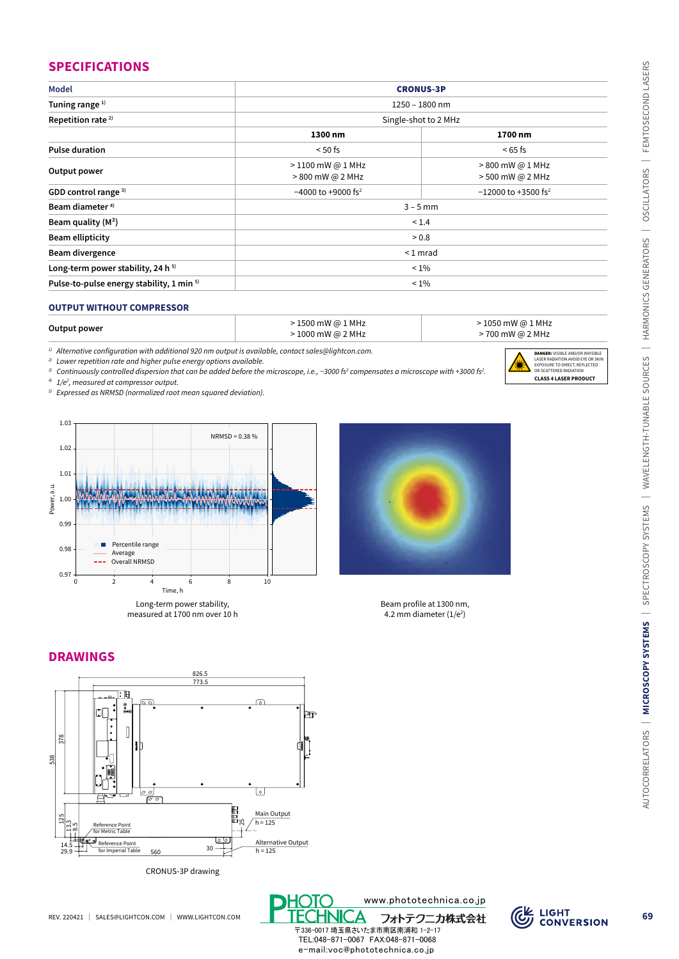| <b>Model</b>                                                                                                                                                     |                                        | <b>CRONUS-3P</b>                                                                                       |  |
|------------------------------------------------------------------------------------------------------------------------------------------------------------------|----------------------------------------|--------------------------------------------------------------------------------------------------------|--|
| Tuning range <sup>1)</sup>                                                                                                                                       |                                        |                                                                                                        |  |
| Repetition rate <sup>2)</sup>                                                                                                                                    | 1250 - 1800 nm<br>Single-shot to 2 MHz |                                                                                                        |  |
|                                                                                                                                                                  | 1300 nm                                | 1700 nm                                                                                                |  |
| <b>Pulse duration</b>                                                                                                                                            | $< 50$ fs                              | $< 65$ fs                                                                                              |  |
|                                                                                                                                                                  | > 1100 mW @ 1 MHz                      | > 800 mW @ 1 MHz                                                                                       |  |
| Output power                                                                                                                                                     | > 800 mW @ 2 MHz                       | > 500 mW @ 2 MHz                                                                                       |  |
| GDD control range <sup>3)</sup>                                                                                                                                  | $-4000$ to +9000 fs <sup>2</sup>       | $-12000$ to +3500 fs <sup>2</sup>                                                                      |  |
| Beam diameter <sup>4)</sup>                                                                                                                                      |                                        | $3 - 5$ mm                                                                                             |  |
| Beam quality $(M^2)$                                                                                                                                             |                                        | < 1.4                                                                                                  |  |
| <b>Beam ellipticity</b>                                                                                                                                          |                                        | > 0.8                                                                                                  |  |
| Beam divergence                                                                                                                                                  | $<$ 1 mrad                             |                                                                                                        |  |
| Long-term power stability, 24 h <sup>5)</sup>                                                                                                                    | $\leq 1\%$                             |                                                                                                        |  |
| Pulse-to-pulse energy stability, 1 min 5)                                                                                                                        | $< 1\%$                                |                                                                                                        |  |
|                                                                                                                                                                  |                                        |                                                                                                        |  |
| <b>OUTPUT WITHOUT COMPRESSOR</b>                                                                                                                                 |                                        |                                                                                                        |  |
| Output power                                                                                                                                                     | > 1500 mW @ 1 MHz<br>> 1000 mW @ 2 MHz | > 1050 mW @ 1 MHz<br>>700 mW @ 2 MHz                                                                   |  |
| <sup>1)</sup> Alternative configuration with additional 920 nm output is available, contact sales@lightcon.com.                                                  |                                        |                                                                                                        |  |
| <sup>2)</sup> Lower repetition rate and higher pulse energy options available.                                                                                   |                                        | DANGER: VISIBLE AND/OR INVISIBLE<br>LASER RADIATION AVOID EYE OR SKIN<br>EXPOSURE TO DIRECT, REFLECTED |  |
| 3) Continuously controlled dispersion that can be added before the microscope, i.e., -3000 fs <sup>2</sup> compensates a microscope with +3000 fs <sup>2</sup> . |                                        | OR SCATTERED RADIATION<br><b>CLASS 4 LASER PRODUCT</b>                                                 |  |
| 4)<br>1/e <sup>2</sup> , measured at compressor output.<br><sup>5)</sup> Expressed as NRMSD (normalized root mean squared deviation).                            |                                        |                                                                                                        |  |
|                                                                                                                                                                  |                                        |                                                                                                        |  |
| 1.03                                                                                                                                                             |                                        |                                                                                                        |  |
| NRMSD = 0.38 %                                                                                                                                                   |                                        |                                                                                                        |  |
| 1.02                                                                                                                                                             |                                        |                                                                                                        |  |
|                                                                                                                                                                  |                                        |                                                                                                        |  |
| 1.01                                                                                                                                                             |                                        |                                                                                                        |  |
| Power, a.u.                                                                                                                                                      |                                        |                                                                                                        |  |
| 1.00                                                                                                                                                             |                                        |                                                                                                        |  |
| 0.99                                                                                                                                                             |                                        |                                                                                                        |  |
|                                                                                                                                                                  |                                        |                                                                                                        |  |
| Percentile range<br>0.98<br>Average                                                                                                                              |                                        |                                                                                                        |  |
| Overall NRMSD                                                                                                                                                    |                                        |                                                                                                        |  |
| 0.97<br>$\pmb{0}$<br>$\overline{2}$<br>8<br>4<br>6                                                                                                               | $10\,$                                 |                                                                                                        |  |
| Time, h                                                                                                                                                          |                                        |                                                                                                        |  |
| Long-term power stability,<br>measured at 1700 nm over 10 h                                                                                                      |                                        | Beam profile at 1300 nm,<br>4.2 mm diameter $(1/e2)$                                                   |  |
|                                                                                                                                                                  |                                        |                                                                                                        |  |
|                                                                                                                                                                  |                                        |                                                                                                        |  |
| <b>DRAWINGS</b>                                                                                                                                                  |                                        |                                                                                                        |  |
| 826.5                                                                                                                                                            |                                        |                                                                                                        |  |
| 773.5                                                                                                                                                            |                                        |                                                                                                        |  |
| ∶⊩⊟<br>$\sim$                                                                                                                                                    |                                        |                                                                                                        |  |
|                                                                                                                                                                  | bt                                     |                                                                                                        |  |
|                                                                                                                                                                  |                                        |                                                                                                        |  |
| 378                                                                                                                                                              |                                        |                                                                                                        |  |
| 538                                                                                                                                                              |                                        |                                                                                                        |  |
|                                                                                                                                                                  |                                        |                                                                                                        |  |
| 00                                                                                                                                                               | $\mathbf{o}$                           |                                                                                                        |  |
| ंटि                                                                                                                                                              |                                        |                                                                                                        |  |
| 125                                                                                                                                                              | Main Output<br>$h = 125$               |                                                                                                        |  |
| Reference Point<br>for Metric Table<br>ی نی<br>i∞i                                                                                                               |                                        |                                                                                                        |  |
| i +<br>اہ `<br>Reference Point<br>14.5<br>30<br>for Imperial Table<br>29.9<br>560                                                                                | Alternative Output<br>$h = 125$        |                                                                                                        |  |
|                                                                                                                                                                  |                                        |                                                                                                        |  |
| CRONUS-3P drawing                                                                                                                                                |                                        |                                                                                                        |  |
|                                                                                                                                                                  |                                        |                                                                                                        |  |
|                                                                                                                                                                  |                                        | www.phototechnica.co.jp                                                                                |  |
| SALES@LIGHTCON.COM  <br>WWW.LIGHTCON.COM<br>REV. 220421                                                                                                          |                                        | <b>THE LIGHT</b><br>フォトテクニカ株式会社                                                                        |  |

# **OUTPUT WITHOUT COMPRESSOR**

| $>$ 1500 mW @ 1 MHz | > 1050 mW @ 1 MHz |
|---------------------|-------------------|
| $>$ 1000 mW @ 2 MHz | > 700 mW @ 2 MHz  |





# **DRAWINGS**







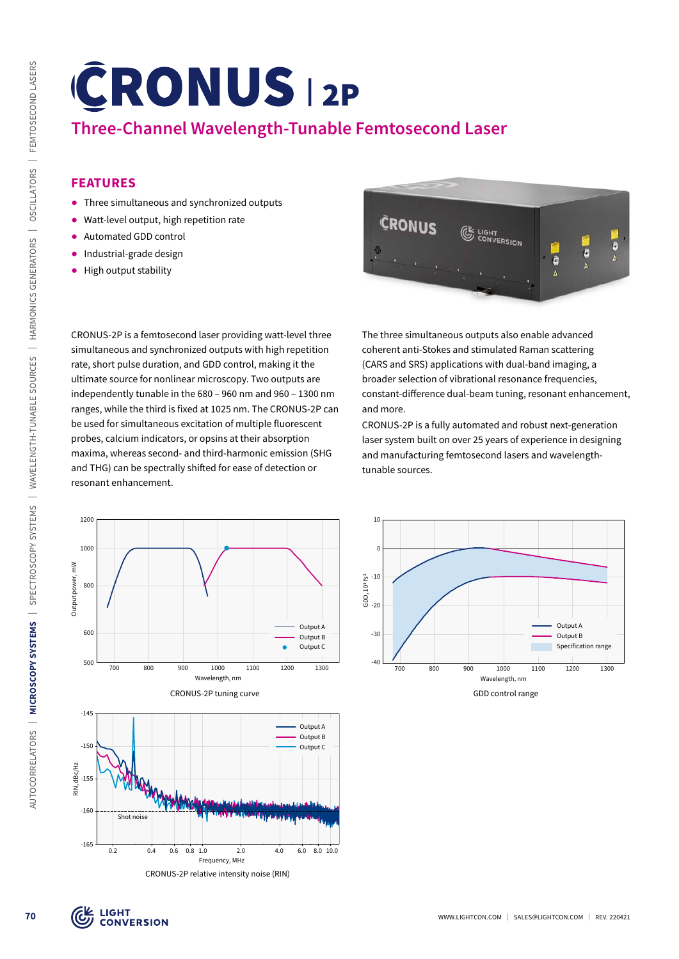# **Three-Channel Wavelength-Tunable Femtosecond Laser**

# **FEATURES**

- ᰋ Three simultaneous and synchronized outputs
- ᰋ Watt-level output, high repetition rate
- ᰋ Automated GDD control
- **•** Industrial-grade design
- ᰋ High output stability

CRONUS-2P is a femtosecond laser providing watt-level three simultaneous and synchronized outputs with high repetition rate, short pulse duration, and GDD control, making it the ultimate source for nonlinear microscopy. Two outputs are independently tunable in the 680 – 960 nm and 960 – 1300 nm ranges, while the third is fixed at 1025 nm. The CRONUS-2P can be used for simultaneous excitation of multiple fluorescent probes, calcium indicators, or opsins at their absorption maxima, whereas second- and third-harmonic emission (SHG and THG) can be spectrally shifted for ease of detection or resonant enhancement.



The three simultaneous outputs also enable advanced coherent anti-Stokes and stimulated Raman scattering (CARS and SRS) applications with dual-band imaging, a broader selection of vibrational resonance frequencies, constant-difference dual-beam tuning, resonant enhancement, and more.

CRONUS-2P is a fully automated and robust next-generation laser system built on over 25 years of experience in designing and manufacturing femtosecond lasers and wavelengthtunable sources.